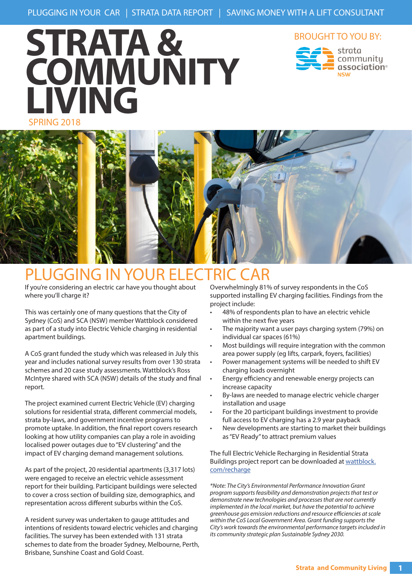# SPRING 2018 **STRATA & COMMUNITY LIVING**



association®



## PLUGGING IN YOUR ELECTRIC CAR

If you're considering an electric car have you thought about where you'll charge it?

This was certainly one of many questions that the City of Sydney (CoS) and SCA (NSW) member Wattblock considered as part of a study into Electric Vehicle charging in residential apartment buildings.

A CoS grant funded the study which was released in July this year and includes national survey results from over 130 strata schemes and 20 case study assessments. Wattblock's Ross McIntyre shared with SCA (NSW) details of the study and final report.

The project examined current Electric Vehicle (EV) charging solutions for residential strata, different commercial models, strata by-laws, and government incentive programs to promote uptake. In addition, the final report covers research looking at how utility companies can play a role in avoiding localised power outages due to "EV clustering" and the impact of EV charging demand management solutions.

As part of the project, 20 residential apartments (3,317 lots) were engaged to receive an electric vehicle assessment report for their building. Participant buildings were selected to cover a cross section of building size, demographics, and representation across different suburbs within the CoS.

A resident survey was undertaken to gauge attitudes and intentions of residents toward electric vehicles and charging facilities. The survey has been extended with 131 strata schemes to date from the broader Sydney, Melbourne, Perth, Brisbane, Sunshine Coast and Gold Coast.

Overwhelmingly 81% of survey respondents in the CoS supported installing EV charging facilities. Findings from the project include:

- 48% of respondents plan to have an electric vehicle within the next five years
- The majority want a user pays charging system (79%) on individual car spaces (61%)
- Most buildings will require integration with the common area power supply (eg lifts, carpark, foyers, facilities)
- Power management systems will be needed to shift EV charging loads overnight
- Energy efficiency and renewable energy projects can increase capacity
- By-laws are needed to manage electric vehicle charger installation and usage
- For the 20 participant buildings investment to provide full access to EV charging has a 2.9 year payback
- New developments are starting to market their buildings as "EV Ready" to attract premium values

The full Electric Vehicle Recharging in Residential Strata Buildings project report can be downloaded at wattblock. com/recharge

*\*Note: The City's Environmental Performance Innovation Grant program supports feasibility and demonstration projects that test or demonstrate new technologies and processes that are not currently implemented in the local market, but have the potential to achieve greenhouse gas emission reductions and resource efficiencies at scale within the CoS Local Government Area. Grant funding supports the City's work towards the environmental performance targets included in its community strategic plan Sustainable Sydney 2030.*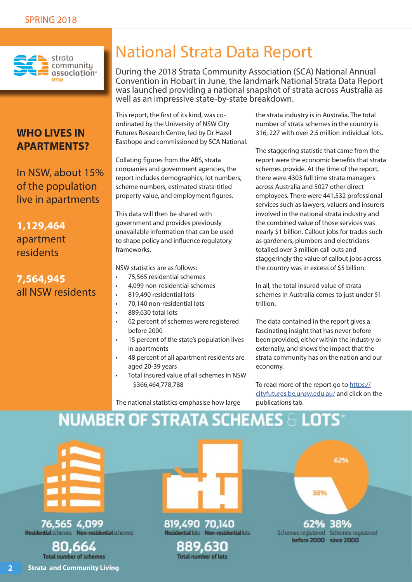

### **WHO LIVES IN APARTMENTS?**

In NSW, about 15% of the population live in apartments

### **1,129,464** apartment residents

### **7,564,945** all NSW residents

## National Strata Data Report

During the 2018 Strata Community Association (SCA) National Annual Convention in Hobart in June, the landmark National Strata Data Report was launched providing a national snapshot of strata across Australia as well as an impressive state-by-state breakdown.

This report, the first of its kind, was coordinated by the University of NSW City Futures Research Centre, led by Dr Hazel Easthope and commissioned by SCA National.

Collating figures from the ABS, strata companies and government agencies, the report includes demographics, lot numbers, scheme numbers, estimated strata-titled property value, and employment figures.

This data will then be shared with government and provides previously unavailable information that can be used to shape policy and influence regulatory frameworks.

NSW statistics are as follows:

- 75,565 residential schemes
- 4,099 non-residential schemes
- 819,490 residential lots
- 70,140 non-residential lots
- 889,630 total lots
- 62 percent of schemes were registered before 2000
- 15 percent of the state's population lives in apartments
- 48 percent of all apartment residents are aged 20-39 years
- Total insured value of all schemes in NSW – \$366,464,778,788

the strata industry is in Australia. The total number of strata schemes in the country is 316, 227 with over 2.5 million individual lots.

The staggering statistic that came from the report were the economic benefits that strata schemes provide. At the time of the report, there were 4303 full time strata managers across Australia and 5027 other direct employees. There were 441,532 professional services such as lawyers, valuers and insurers involved in the national strata industry and the combined value of those services was nearly \$1 billion. Callout jobs for trades such as gardeners, plumbers and electricians totalled over 3 million call outs and staggeringly the value of callout jobs across the country was in excess of \$5 billion.

In all, the total insured value of strata schemes in Australia comes to just under \$1 trillion.

The data contained in the report gives a fascinating insight that has never before been provided, either within the industry or externally, and shows the impact that the strata community has on the nation and our economy.

To read more of the report go to https:// cityfutures.be.unsw.edu.au/ and click on the publications tab.

The national statistics emphasise how large

## NUMBER OF STRATA SCHEMES  $\mathbb{H}$  LOTS\*

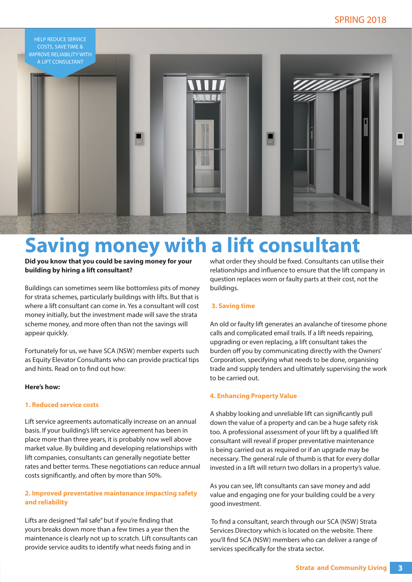

# **Saving money with a lift consultant**

**Did you know that you could be saving money for your building by hiring a lift consultant?**

Buildings can sometimes seem like bottomless pits of money for strata schemes, particularly buildings with lifts. But that is where a lift consultant can come in. Yes a consultant will cost money initially, but the investment made will save the strata scheme money, and more often than not the savings will appear quickly.

Fortunately for us, we have SCA (NSW) member experts such as Equity Elevator Consultants who can provide practical tips and hints. Read on to find out how:

#### **Here's how:**

#### **1. Reduced service costs**

Lift service agreements automatically increase on an annual basis. If your building's lift service agreement has been in place more than three years, it is probably now well above market value. By building and developing relationships with lift companies, consultants can generally negotiate better rates and better terms. These negotiations can reduce annual costs significantly, and often by more than 50%.

### **2. Improved preventative maintenance impacting safety and reliability**

Lifts are designed "fail safe" but if you're finding that yours breaks down more than a few times a year then the maintenance is clearly not up to scratch. Lift consultants can provide service audits to identify what needs fixing and in

what order they should be fixed. Consultants can utilise their relationships and influence to ensure that the lift company in question replaces worn or faulty parts at their cost, not the buildings.

### **3. Saving time**

An old or faulty lift generates an avalanche of tiresome phone calls and complicated email trails. If a lift needs repairing, upgrading or even replacing, a lift consultant takes the burden off you by communicating directly with the Owners' Corporation, specifying what needs to be done, organising trade and supply tenders and ultimately supervising the work to be carried out.

#### **4. Enhancing Property Value**

A shabby looking and unreliable lift can significantly pull down the value of a property and can be a huge safety risk too. A professional assessment of your lift by a qualified lift consultant will reveal if proper preventative maintenance is being carried out as required or if an upgrade may be necessary. The general rule of thumb is that for every dollar invested in a lift will return two dollars in a property's value.

As you can see, lift consultants can save money and add value and engaging one for your building could be a very good investment.

 To find a consultant, search through our SCA (NSW) Strata Services Directory which is located on the website. There you'll find SCA (NSW) members who can deliver a range of services specifically for the strata sector.